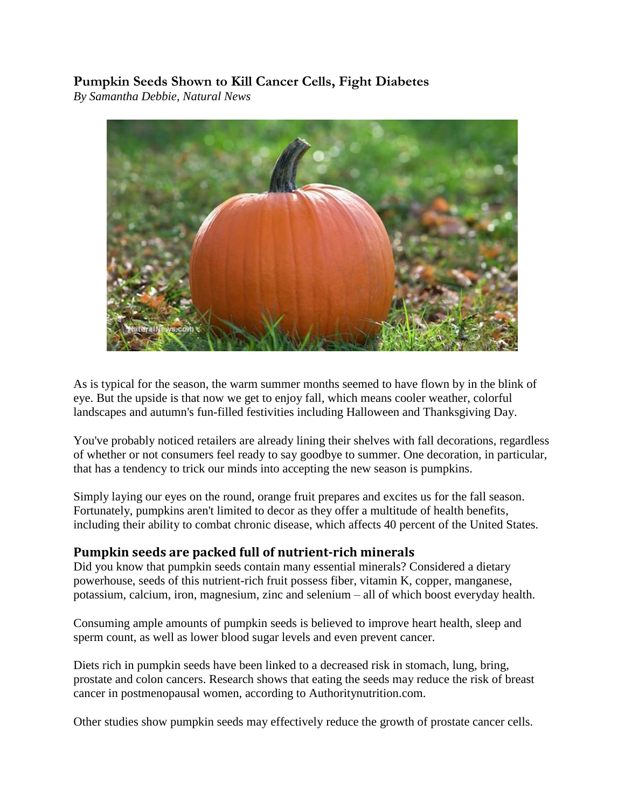# **Pumpkin Seeds Shown to Kill Cancer Cells, Fight Diabetes**

*By Samantha Debbie, Natural News*



As is typical for the season, the warm summer months seemed to have flown by in the blink of eye. But the upside is that now we get to enjoy fall, which means cooler weather, colorful landscapes and autumn's fun-filled festivities including Halloween and Thanksgiving Day.

You've probably noticed retailers are already lining their shelves with fall decorations, regardless of whether or not consumers feel ready to say goodbye to summer. One decoration, in particular, that has a tendency to trick our minds into accepting the new season is [pumpkins.](http://www.cleanfood.news/)

Simply laying our eyes on the round, orange fruit prepares and excites us for the fall season. Fortunately, pumpkins aren't limited to decor as they offer a multitude of health benefits, including their ability to combat chronic disease, which affects 40 percent of the United States.

## **Pumpkin seeds are packed full of nutrient-rich minerals**

Did you know that pumpkin seeds contain many essential minerals? Considered a dietary powerhouse, seeds of this nutrient-rich [fruit](http://growbox.naturalnews.com/growbox.html) possess fiber, vitamin K, copper, manganese, potassium, calcium, iron, magnesium, zinc and selenium – all of which boost everyday health.

Consuming ample amounts of pumpkin seeds is believed to improve heart health, sleep and sperm count, as well as lower blood sugar levels and even prevent cancer.

Diets rich in pumpkin seeds have been linked to a decreased risk in stomach, lung, bring, prostate and colon cancers. Research shows that eating the seeds may reduce the risk of breast cancer in postmenopausal women, according to Authoritynutrition.com.

Other studies show [pumpkin seeds](http://www.naturalnews.com/pumpkin_seeds.html) may effectively reduce the growth of prostate cancer cells.